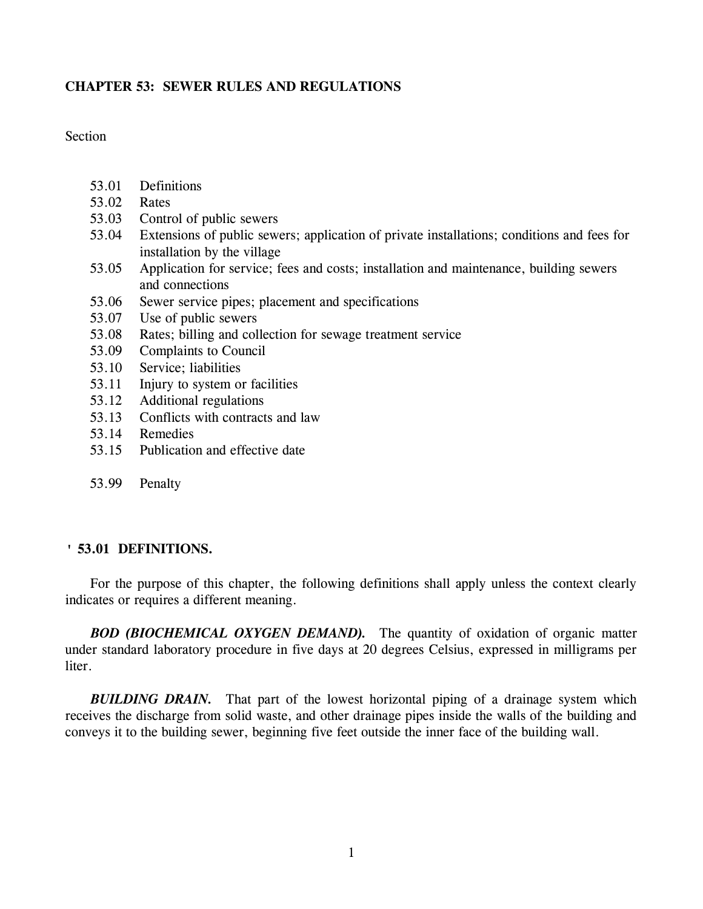# **CHAPTER 53: SEWER RULES AND REGULATIONS**

**Section** 

- 53.01 Definitions
- 53.02 Rates
- 53.03 Control of public sewers
- 53.04 Extensions of public sewers; application of private installations; conditions and fees for installation by the village
- 53.05 Application for service; fees and costs; installation and maintenance, building sewers and connections
- 53.06 Sewer service pipes; placement and specifications
- 53.07 Use of public sewers
- 53.08 Rates; billing and collection for sewage treatment service
- 53.09 Complaints to Council
- 53.10 Service; liabilities
- 53.11 Injury to system or facilities
- 53.12 Additional regulations
- 53.13 Conflicts with contracts and law
- 53.14 Remedies
- 53.15 Publication and effective date
- 53.99 Penalty

# **' 53.01 DEFINITIONS.**

For the purpose of this chapter, the following definitions shall apply unless the context clearly indicates or requires a different meaning.

*BOD (BIOCHEMICAL OXYGEN DEMAND).* The quantity of oxidation of organic matter under standard laboratory procedure in five days at 20 degrees Celsius, expressed in milligrams per liter.

**BUILDING DRAIN.** That part of the lowest horizontal piping of a drainage system which receives the discharge from solid waste, and other drainage pipes inside the walls of the building and conveys it to the building sewer, beginning five feet outside the inner face of the building wall.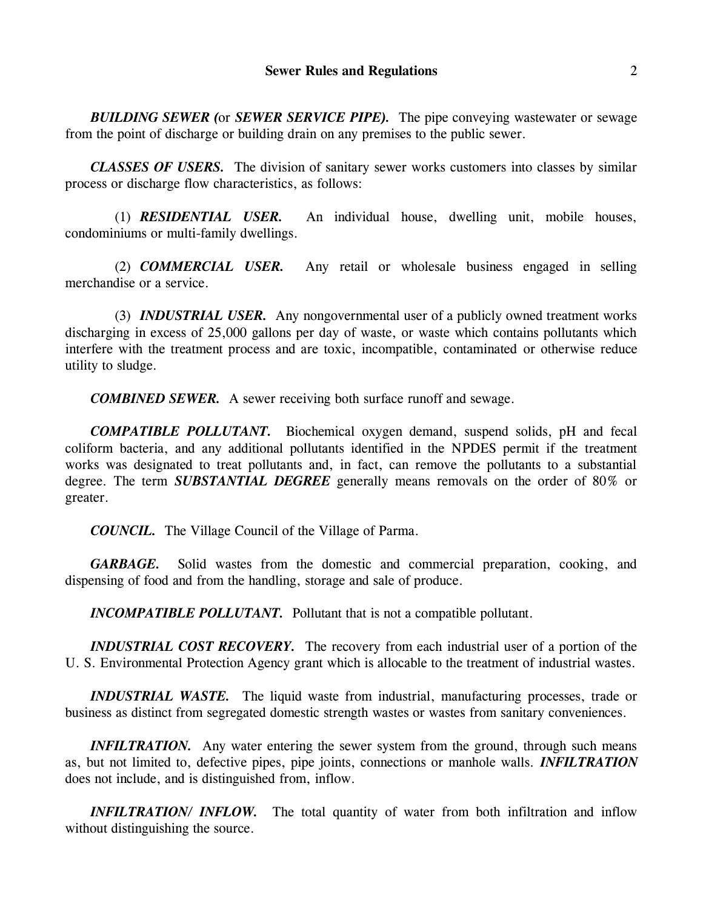*BUILDING SEWER (*or *SEWER SERVICE PIPE).* The pipe conveying wastewater or sewage from the point of discharge or building drain on any premises to the public sewer.

*CLASSES OF USERS.* The division of sanitary sewer works customers into classes by similar process or discharge flow characteristics, as follows:

(1) *RESIDENTIAL USER.* An individual house, dwelling unit, mobile houses, condominiums or multi-family dwellings.

(2) *COMMERCIAL USER.* Any retail or wholesale business engaged in selling merchandise or a service.

(3) *INDUSTRIAL USER.* Any nongovernmental user of a publicly owned treatment works discharging in excess of 25,000 gallons per day of waste, or waste which contains pollutants which interfere with the treatment process and are toxic, incompatible, contaminated or otherwise reduce utility to sludge.

*COMBINED SEWER.* A sewer receiving both surface runoff and sewage.

*COMPATIBLE POLLUTANT.* Biochemical oxygen demand, suspend solids, pH and fecal coliform bacteria, and any additional pollutants identified in the NPDES permit if the treatment works was designated to treat pollutants and, in fact, can remove the pollutants to a substantial degree. The term *SUBSTANTIAL DEGREE* generally means removals on the order of 80% or greater.

*COUNCIL.* The Village Council of the Village of Parma.

*GARBAGE.* Solid wastes from the domestic and commercial preparation, cooking, and dispensing of food and from the handling, storage and sale of produce.

*INCOMPATIBLE POLLUTANT.* Pollutant that is not a compatible pollutant.

*INDUSTRIAL COST RECOVERY.* The recovery from each industrial user of a portion of the U. S. Environmental Protection Agency grant which is allocable to the treatment of industrial wastes.

*INDUSTRIAL WASTE.* The liquid waste from industrial, manufacturing processes, trade or business as distinct from segregated domestic strength wastes or wastes from sanitary conveniences.

*INFILTRATION.* Any water entering the sewer system from the ground, through such means as, but not limited to, defective pipes, pipe joints, connections or manhole walls. *INFILTRATION* does not include, and is distinguished from, inflow.

*INFILTRATION/ INFLOW.* The total quantity of water from both infiltration and inflow without distinguishing the source.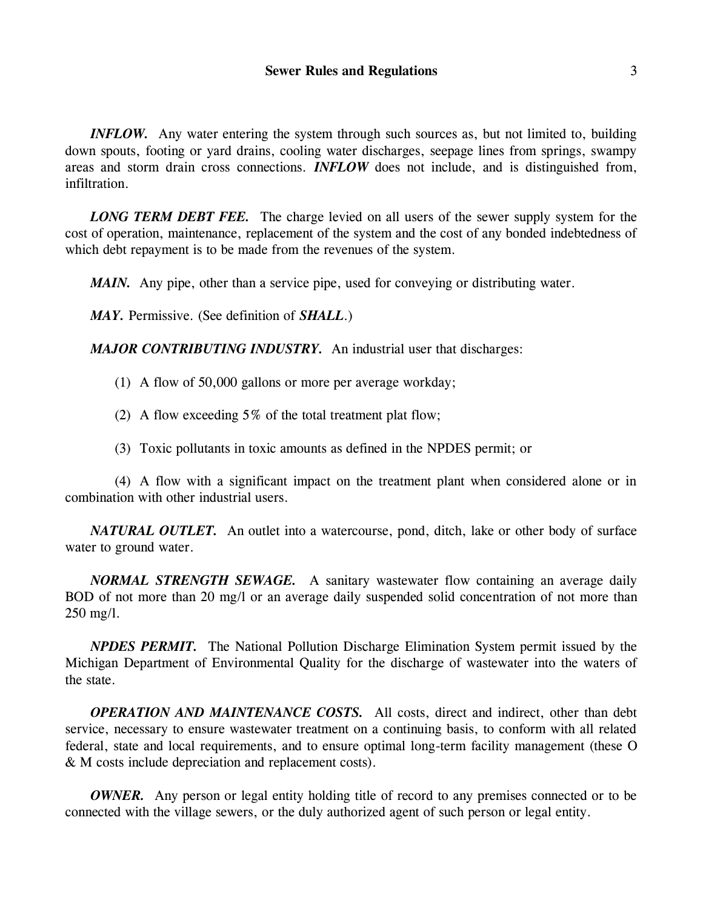*INFLOW.* Any water entering the system through such sources as, but not limited to, building down spouts, footing or yard drains, cooling water discharges, seepage lines from springs, swampy areas and storm drain cross connections. *INFLOW* does not include, and is distinguished from, infiltration.

*LONG TERM DEBT FEE.* The charge levied on all users of the sewer supply system for the cost of operation, maintenance, replacement of the system and the cost of any bonded indebtedness of which debt repayment is to be made from the revenues of the system.

*MAIN.* Any pipe, other than a service pipe, used for conveying or distributing water.

*MAY.* Permissive. (See definition of *SHALL*.)

*MAJOR CONTRIBUTING INDUSTRY.* An industrial user that discharges:

(1) A flow of 50,000 gallons or more per average workday;

(2) A flow exceeding 5% of the total treatment plat flow;

(3) Toxic pollutants in toxic amounts as defined in the NPDES permit; or

(4) A flow with a significant impact on the treatment plant when considered alone or in combination with other industrial users.

*NATURAL OUTLET.* An outlet into a watercourse, pond, ditch, lake or other body of surface water to ground water.

*NORMAL STRENGTH SEWAGE.* A sanitary wastewater flow containing an average daily BOD of not more than 20 mg/l or an average daily suspended solid concentration of not more than 250 mg/l.

*NPDES PERMIT.* The National Pollution Discharge Elimination System permit issued by the Michigan Department of Environmental Quality for the discharge of wastewater into the waters of the state.

*OPERATION AND MAINTENANCE COSTS.* All costs, direct and indirect, other than debt service, necessary to ensure wastewater treatment on a continuing basis, to conform with all related federal, state and local requirements, and to ensure optimal long-term facility management (these O & M costs include depreciation and replacement costs).

*OWNER.* Any person or legal entity holding title of record to any premises connected or to be connected with the village sewers, or the duly authorized agent of such person or legal entity.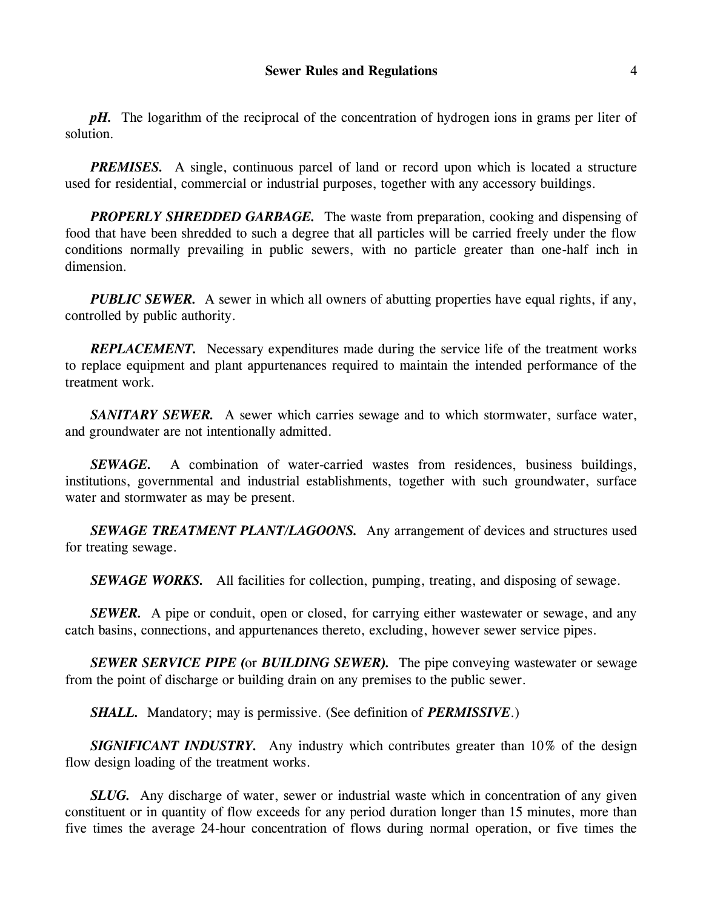*pH.* The logarithm of the reciprocal of the concentration of hydrogen ions in grams per liter of solution.

*PREMISES.* A single, continuous parcel of land or record upon which is located a structure used for residential, commercial or industrial purposes, together with any accessory buildings.

*PROPERLY SHREDDED GARBAGE.* The waste from preparation, cooking and dispensing of food that have been shredded to such a degree that all particles will be carried freely under the flow conditions normally prevailing in public sewers, with no particle greater than one-half inch in dimension.

*PUBLIC SEWER.* A sewer in which all owners of abutting properties have equal rights, if any, controlled by public authority.

*REPLACEMENT.* Necessary expenditures made during the service life of the treatment works to replace equipment and plant appurtenances required to maintain the intended performance of the treatment work.

*SANITARY SEWER.* A sewer which carries sewage and to which stormwater, surface water, and groundwater are not intentionally admitted.

*SEWAGE.* A combination of water-carried wastes from residences, business buildings, institutions, governmental and industrial establishments, together with such groundwater, surface water and stormwater as may be present.

*SEWAGE TREATMENT PLANT/LAGOONS.* Any arrangement of devices and structures used for treating sewage.

**SEWAGE WORKS.** All facilities for collection, pumping, treating, and disposing of sewage.

*SEWER.* A pipe or conduit, open or closed, for carrying either wastewater or sewage, and any catch basins, connections, and appurtenances thereto, excluding, however sewer service pipes.

*SEWER SERVICE PIPE (*or *BUILDING SEWER).* The pipe conveying wastewater or sewage from the point of discharge or building drain on any premises to the public sewer.

*SHALL.* Mandatory; may is permissive. (See definition of *PERMISSIVE*.)

*SIGNIFICANT INDUSTRY.* Any industry which contributes greater than 10% of the design flow design loading of the treatment works.

*SLUG.* Any discharge of water, sewer or industrial waste which in concentration of any given constituent or in quantity of flow exceeds for any period duration longer than 15 minutes, more than five times the average 24-hour concentration of flows during normal operation, or five times the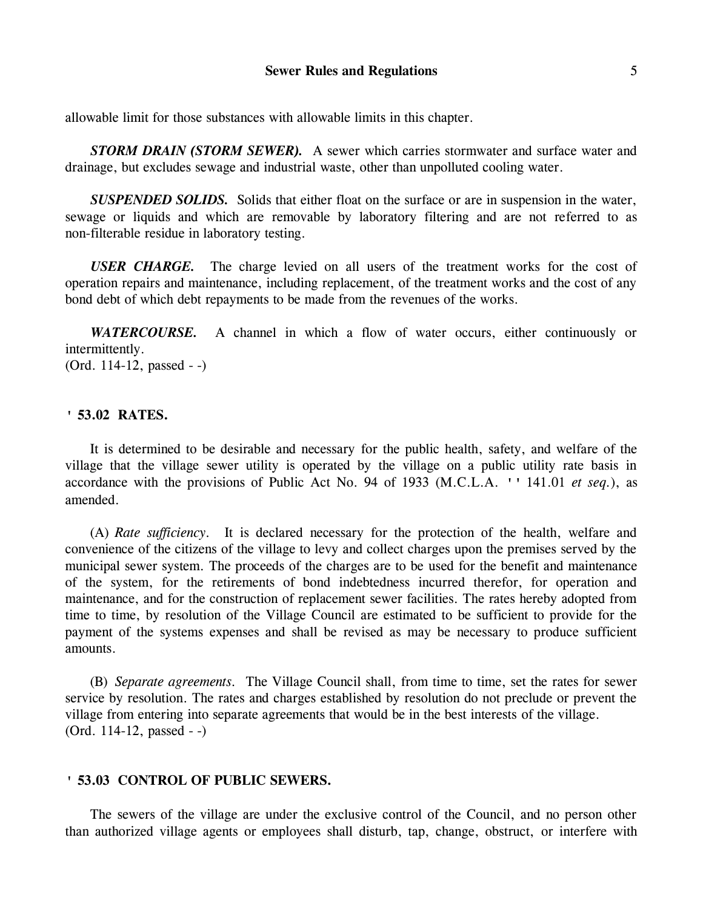allowable limit for those substances with allowable limits in this chapter.

*STORM DRAIN (STORM SEWER).* A sewer which carries stormwater and surface water and drainage, but excludes sewage and industrial waste, other than unpolluted cooling water.

*SUSPENDED SOLIDS.* Solids that either float on the surface or are in suspension in the water, sewage or liquids and which are removable by laboratory filtering and are not referred to as non-filterable residue in laboratory testing.

*USER CHARGE.* The charge levied on all users of the treatment works for the cost of operation repairs and maintenance, including replacement, of the treatment works and the cost of any bond debt of which debt repayments to be made from the revenues of the works.

*WATERCOURSE.* A channel in which a flow of water occurs, either continuously or intermittently. (Ord. 114-12, passed - -)

## **' 53.02 RATES.**

It is determined to be desirable and necessary for the public health, safety, and welfare of the village that the village sewer utility is operated by the village on a public utility rate basis in accordance with the provisions of Public Act No. 94 of 1933 (M.C.L.A. '' 141.01 *et seq.*), as amended.

(A) *Rate sufficiency.* It is declared necessary for the protection of the health, welfare and convenience of the citizens of the village to levy and collect charges upon the premises served by the municipal sewer system. The proceeds of the charges are to be used for the benefit and maintenance of the system, for the retirements of bond indebtedness incurred therefor, for operation and maintenance, and for the construction of replacement sewer facilities. The rates hereby adopted from time to time, by resolution of the Village Council are estimated to be sufficient to provide for the payment of the systems expenses and shall be revised as may be necessary to produce sufficient amounts.

(B) *Separate agreements.* The Village Council shall, from time to time, set the rates for sewer service by resolution. The rates and charges established by resolution do not preclude or prevent the village from entering into separate agreements that would be in the best interests of the village. (Ord. 114-12, passed - -)

### **' 53.03 CONTROL OF PUBLIC SEWERS.**

The sewers of the village are under the exclusive control of the Council, and no person other than authorized village agents or employees shall disturb, tap, change, obstruct, or interfere with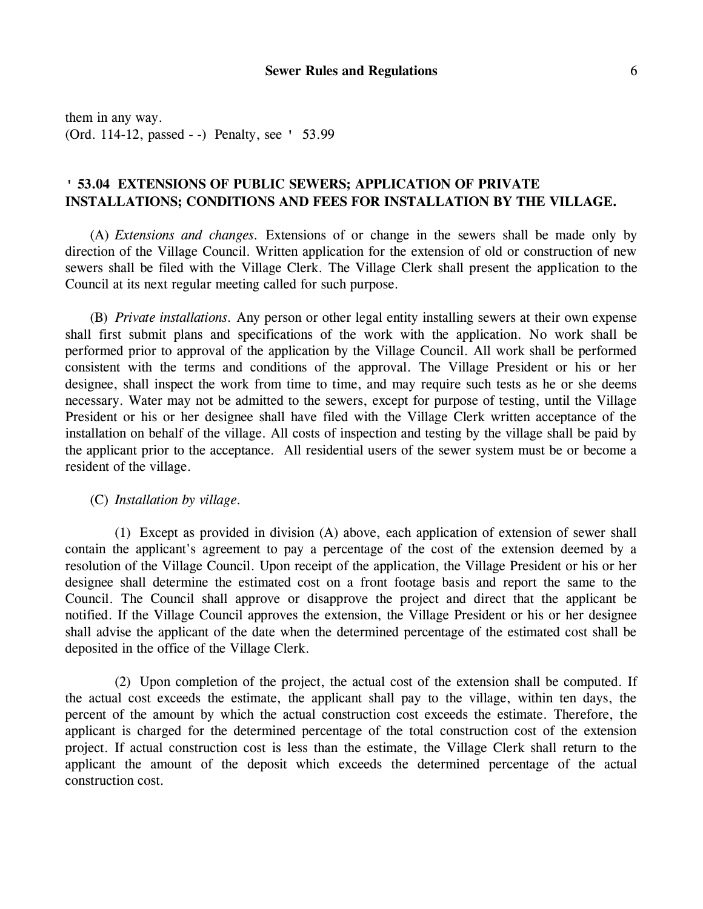them in any way. (Ord. 114-12, passed - -) Penalty, see ' 53.99

# **' 53.04 EXTENSIONS OF PUBLIC SEWERS; APPLICATION OF PRIVATE INSTALLATIONS; CONDITIONS AND FEES FOR INSTALLATION BY THE VILLAGE.**

(A) *Extensions and changes.* Extensions of or change in the sewers shall be made only by direction of the Village Council. Written application for the extension of old or construction of new sewers shall be filed with the Village Clerk. The Village Clerk shall present the application to the Council at its next regular meeting called for such purpose.

(B) *Private installations.* Any person or other legal entity installing sewers at their own expense shall first submit plans and specifications of the work with the application. No work shall be performed prior to approval of the application by the Village Council. All work shall be performed consistent with the terms and conditions of the approval. The Village President or his or her designee, shall inspect the work from time to time, and may require such tests as he or she deems necessary. Water may not be admitted to the sewers, except for purpose of testing, until the Village President or his or her designee shall have filed with the Village Clerk written acceptance of the installation on behalf of the village. All costs of inspection and testing by the village shall be paid by the applicant prior to the acceptance. All residential users of the sewer system must be or become a resident of the village.

(C) *Installation by village.*

(1) Except as provided in division (A) above, each application of extension of sewer shall contain the applicant's agreement to pay a percentage of the cost of the extension deemed by a resolution of the Village Council. Upon receipt of the application, the Village President or his or her designee shall determine the estimated cost on a front footage basis and report the same to the Council. The Council shall approve or disapprove the project and direct that the applicant be notified. If the Village Council approves the extension, the Village President or his or her designee shall advise the applicant of the date when the determined percentage of the estimated cost shall be deposited in the office of the Village Clerk.

(2) Upon completion of the project, the actual cost of the extension shall be computed. If the actual cost exceeds the estimate, the applicant shall pay to the village, within ten days, the percent of the amount by which the actual construction cost exceeds the estimate. Therefore, the applicant is charged for the determined percentage of the total construction cost of the extension project. If actual construction cost is less than the estimate, the Village Clerk shall return to the applicant the amount of the deposit which exceeds the determined percentage of the actual construction cost.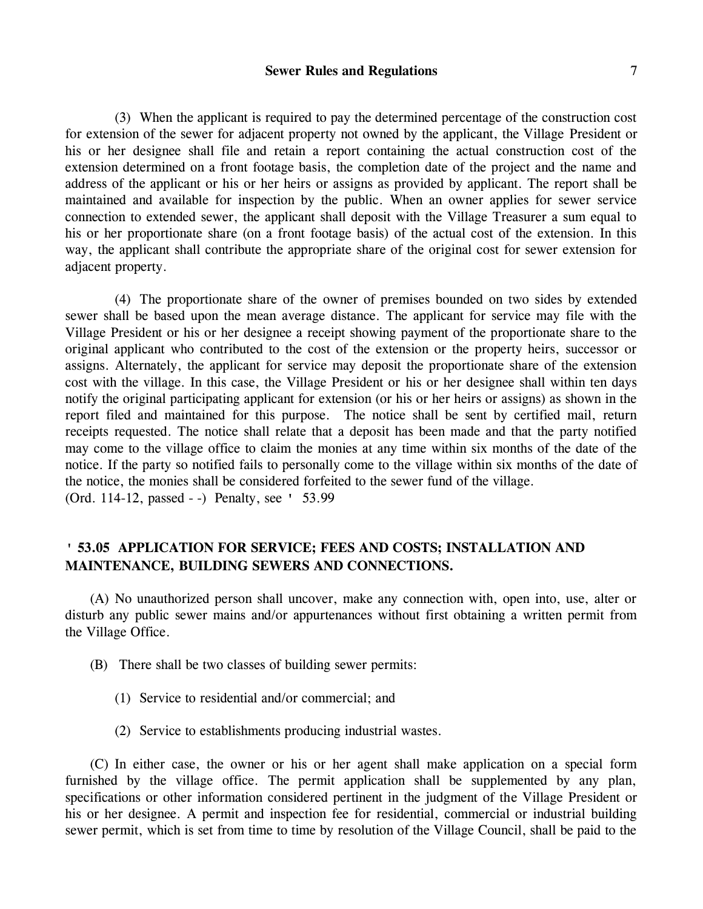## **Sewer Rules and Regulations** 7

(3) When the applicant is required to pay the determined percentage of the construction cost for extension of the sewer for adjacent property not owned by the applicant, the Village President or his or her designee shall file and retain a report containing the actual construction cost of the extension determined on a front footage basis, the completion date of the project and the name and address of the applicant or his or her heirs or assigns as provided by applicant. The report shall be maintained and available for inspection by the public. When an owner applies for sewer service connection to extended sewer, the applicant shall deposit with the Village Treasurer a sum equal to his or her proportionate share (on a front footage basis) of the actual cost of the extension. In this way, the applicant shall contribute the appropriate share of the original cost for sewer extension for adjacent property.

(4) The proportionate share of the owner of premises bounded on two sides by extended sewer shall be based upon the mean average distance. The applicant for service may file with the Village President or his or her designee a receipt showing payment of the proportionate share to the original applicant who contributed to the cost of the extension or the property heirs, successor or assigns. Alternately, the applicant for service may deposit the proportionate share of the extension cost with the village. In this case, the Village President or his or her designee shall within ten days notify the original participating applicant for extension (or his or her heirs or assigns) as shown in the report filed and maintained for this purpose. The notice shall be sent by certified mail, return receipts requested. The notice shall relate that a deposit has been made and that the party notified may come to the village office to claim the monies at any time within six months of the date of the notice. If the party so notified fails to personally come to the village within six months of the date of the notice, the monies shall be considered forfeited to the sewer fund of the village. (Ord. 114-12, passed - -) Penalty, see ' 53.99

# **' 53.05 APPLICATION FOR SERVICE; FEES AND COSTS; INSTALLATION AND MAINTENANCE, BUILDING SEWERS AND CONNECTIONS.**

(A) No unauthorized person shall uncover, make any connection with, open into, use, alter or disturb any public sewer mains and/or appurtenances without first obtaining a written permit from the Village Office.

- (B) There shall be two classes of building sewer permits:
	- (1) Service to residential and/or commercial; and
	- (2) Service to establishments producing industrial wastes.

(C) In either case, the owner or his or her agent shall make application on a special form furnished by the village office. The permit application shall be supplemented by any plan, specifications or other information considered pertinent in the judgment of the Village President or his or her designee. A permit and inspection fee for residential, commercial or industrial building sewer permit, which is set from time to time by resolution of the Village Council, shall be paid to the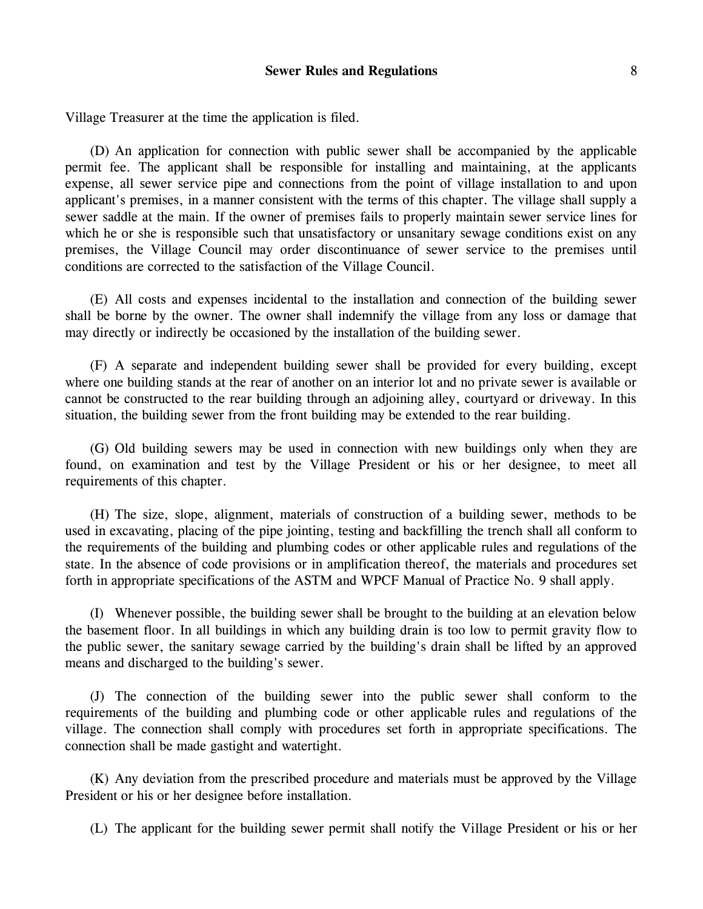Village Treasurer at the time the application is filed.

(D) An application for connection with public sewer shall be accompanied by the applicable permit fee. The applicant shall be responsible for installing and maintaining, at the applicants expense, all sewer service pipe and connections from the point of village installation to and upon applicant's premises, in a manner consistent with the terms of this chapter. The village shall supply a sewer saddle at the main. If the owner of premises fails to properly maintain sewer service lines for which he or she is responsible such that unsatisfactory or unsanitary sewage conditions exist on any premises, the Village Council may order discontinuance of sewer service to the premises until conditions are corrected to the satisfaction of the Village Council.

(E) All costs and expenses incidental to the installation and connection of the building sewer shall be borne by the owner. The owner shall indemnify the village from any loss or damage that may directly or indirectly be occasioned by the installation of the building sewer.

(F) A separate and independent building sewer shall be provided for every building, except where one building stands at the rear of another on an interior lot and no private sewer is available or cannot be constructed to the rear building through an adjoining alley, courtyard or driveway. In this situation, the building sewer from the front building may be extended to the rear building.

(G) Old building sewers may be used in connection with new buildings only when they are found, on examination and test by the Village President or his or her designee, to meet all requirements of this chapter.

(H) The size, slope, alignment, materials of construction of a building sewer, methods to be used in excavating, placing of the pipe jointing, testing and backfilling the trench shall all conform to the requirements of the building and plumbing codes or other applicable rules and regulations of the state. In the absence of code provisions or in amplification thereof, the materials and procedures set forth in appropriate specifications of the ASTM and WPCF Manual of Practice No. 9 shall apply.

(I) Whenever possible, the building sewer shall be brought to the building at an elevation below the basement floor. In all buildings in which any building drain is too low to permit gravity flow to the public sewer, the sanitary sewage carried by the building's drain shall be lifted by an approved means and discharged to the building's sewer.

(J) The connection of the building sewer into the public sewer shall conform to the requirements of the building and plumbing code or other applicable rules and regulations of the village. The connection shall comply with procedures set forth in appropriate specifications. The connection shall be made gastight and watertight.

(K) Any deviation from the prescribed procedure and materials must be approved by the Village President or his or her designee before installation.

(L) The applicant for the building sewer permit shall notify the Village President or his or her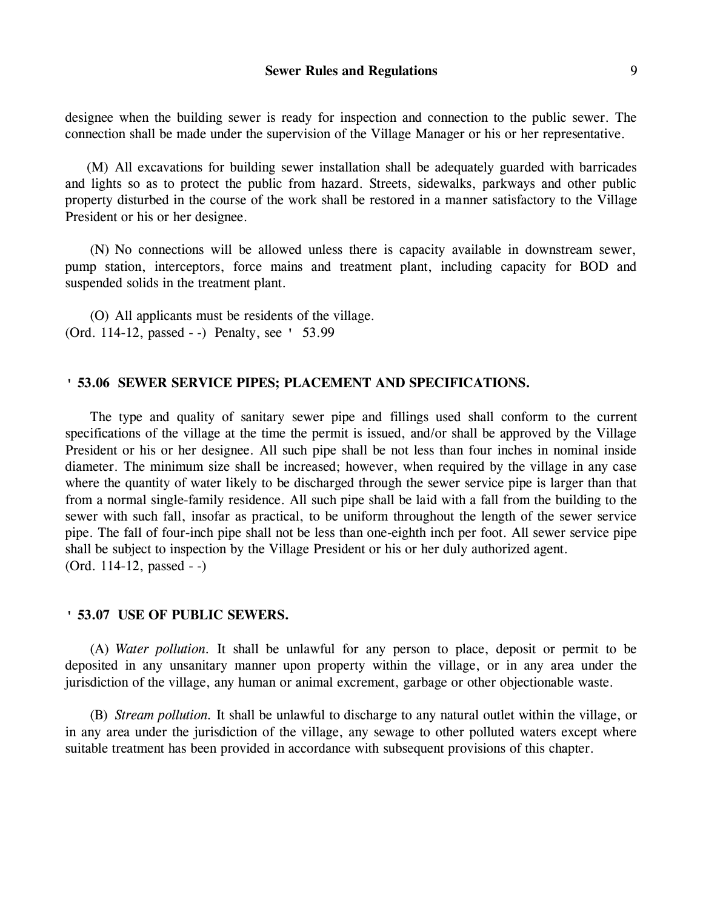designee when the building sewer is ready for inspection and connection to the public sewer. The connection shall be made under the supervision of the Village Manager or his or her representative.

(M) All excavations for building sewer installation shall be adequately guarded with barricades and lights so as to protect the public from hazard. Streets, sidewalks, parkways and other public property disturbed in the course of the work shall be restored in a manner satisfactory to the Village President or his or her designee.

(N) No connections will be allowed unless there is capacity available in downstream sewer, pump station, interceptors, force mains and treatment plant, including capacity for BOD and suspended solids in the treatment plant.

(O) All applicants must be residents of the village. (Ord. 114-12, passed - -) Penalty, see ' 53.99

### **' 53.06 SEWER SERVICE PIPES; PLACEMENT AND SPECIFICATIONS.**

The type and quality of sanitary sewer pipe and fillings used shall conform to the current specifications of the village at the time the permit is issued, and/or shall be approved by the Village President or his or her designee. All such pipe shall be not less than four inches in nominal inside diameter. The minimum size shall be increased; however, when required by the village in any case where the quantity of water likely to be discharged through the sewer service pipe is larger than that from a normal single-family residence. All such pipe shall be laid with a fall from the building to the sewer with such fall, insofar as practical, to be uniform throughout the length of the sewer service pipe. The fall of four-inch pipe shall not be less than one-eighth inch per foot. All sewer service pipe shall be subject to inspection by the Village President or his or her duly authorized agent. (Ord. 114-12, passed - -)

### **' 53.07 USE OF PUBLIC SEWERS.**

(A) *Water pollution.* It shall be unlawful for any person to place, deposit or permit to be deposited in any unsanitary manner upon property within the village, or in any area under the jurisdiction of the village, any human or animal excrement, garbage or other objectionable waste.

(B) *Stream pollution.* It shall be unlawful to discharge to any natural outlet within the village, or in any area under the jurisdiction of the village, any sewage to other polluted waters except where suitable treatment has been provided in accordance with subsequent provisions of this chapter.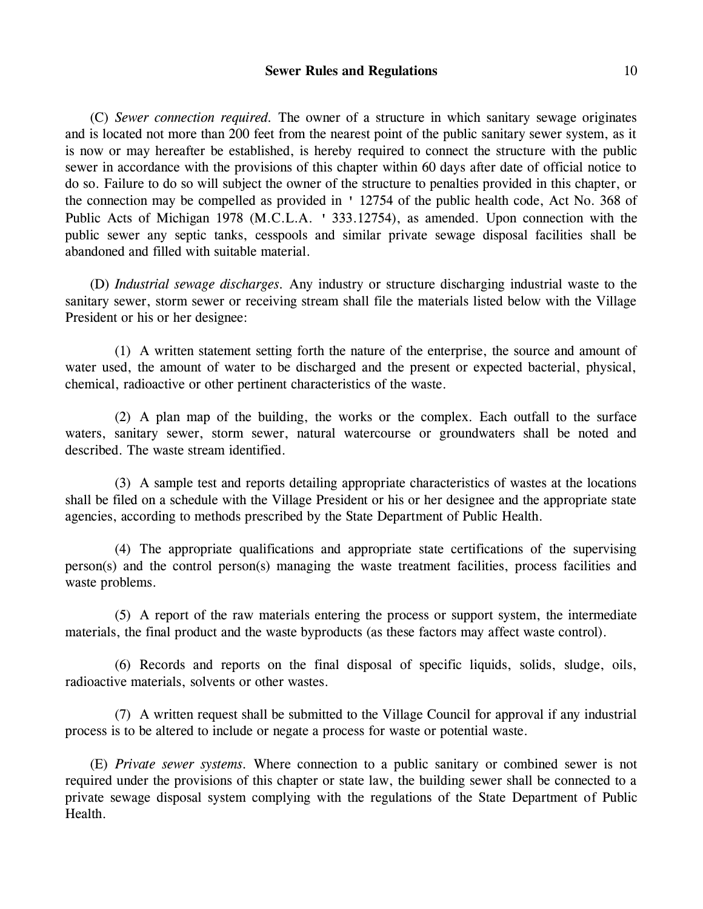## **Sewer Rules and Regulations** 10

(C) *Sewer connection required.* The owner of a structure in which sanitary sewage originates and is located not more than 200 feet from the nearest point of the public sanitary sewer system, as it is now or may hereafter be established, is hereby required to connect the structure with the public sewer in accordance with the provisions of this chapter within 60 days after date of official notice to do so. Failure to do so will subject the owner of the structure to penalties provided in this chapter, or the connection may be compelled as provided in ' 12754 of the public health code, Act No. 368 of Public Acts of Michigan 1978 (M.C.L.A. ' 333.12754), as amended. Upon connection with the public sewer any septic tanks, cesspools and similar private sewage disposal facilities shall be abandoned and filled with suitable material.

(D) *Industrial sewage discharges.* Any industry or structure discharging industrial waste to the sanitary sewer, storm sewer or receiving stream shall file the materials listed below with the Village President or his or her designee:

(1) A written statement setting forth the nature of the enterprise, the source and amount of water used, the amount of water to be discharged and the present or expected bacterial, physical, chemical, radioactive or other pertinent characteristics of the waste.

(2) A plan map of the building, the works or the complex. Each outfall to the surface waters, sanitary sewer, storm sewer, natural watercourse or groundwaters shall be noted and described. The waste stream identified.

(3) A sample test and reports detailing appropriate characteristics of wastes at the locations shall be filed on a schedule with the Village President or his or her designee and the appropriate state agencies, according to methods prescribed by the State Department of Public Health.

(4) The appropriate qualifications and appropriate state certifications of the supervising person(s) and the control person(s) managing the waste treatment facilities, process facilities and waste problems.

(5) A report of the raw materials entering the process or support system, the intermediate materials, the final product and the waste byproducts (as these factors may affect waste control).

(6) Records and reports on the final disposal of specific liquids, solids, sludge, oils, radioactive materials, solvents or other wastes.

(7) A written request shall be submitted to the Village Council for approval if any industrial process is to be altered to include or negate a process for waste or potential waste.

(E) *Private sewer systems.* Where connection to a public sanitary or combined sewer is not required under the provisions of this chapter or state law, the building sewer shall be connected to a private sewage disposal system complying with the regulations of the State Department of Public Health.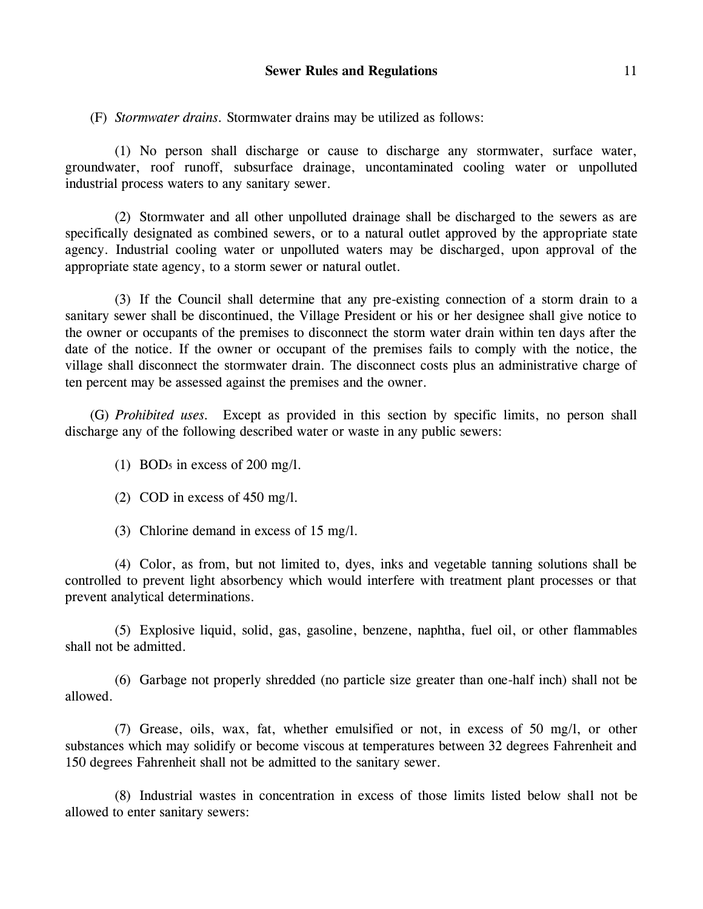(F) *Stormwater drains.* Stormwater drains may be utilized as follows:

(1) No person shall discharge or cause to discharge any stormwater, surface water, groundwater, roof runoff, subsurface drainage, uncontaminated cooling water or unpolluted industrial process waters to any sanitary sewer.

(2) Stormwater and all other unpolluted drainage shall be discharged to the sewers as are specifically designated as combined sewers, or to a natural outlet approved by the appropriate state agency. Industrial cooling water or unpolluted waters may be discharged, upon approval of the appropriate state agency, to a storm sewer or natural outlet.

(3) If the Council shall determine that any pre-existing connection of a storm drain to a sanitary sewer shall be discontinued, the Village President or his or her designee shall give notice to the owner or occupants of the premises to disconnect the storm water drain within ten days after the date of the notice. If the owner or occupant of the premises fails to comply with the notice, the village shall disconnect the stormwater drain. The disconnect costs plus an administrative charge of ten percent may be assessed against the premises and the owner.

(G) *Prohibited uses.* Except as provided in this section by specific limits, no person shall discharge any of the following described water or waste in any public sewers:

(1) BOD<sup>5</sup> in excess of 200 mg/l.

(2) COD in excess of 450 mg/l.

(3) Chlorine demand in excess of 15 mg/l.

(4) Color, as from, but not limited to, dyes, inks and vegetable tanning solutions shall be controlled to prevent light absorbency which would interfere with treatment plant processes or that prevent analytical determinations.

(5) Explosive liquid, solid, gas, gasoline, benzene, naphtha, fuel oil, or other flammables shall not be admitted.

(6) Garbage not properly shredded (no particle size greater than one-half inch) shall not be allowed.

(7) Grease, oils, wax, fat, whether emulsified or not, in excess of 50 mg/l, or other substances which may solidify or become viscous at temperatures between 32 degrees Fahrenheit and 150 degrees Fahrenheit shall not be admitted to the sanitary sewer.

(8) Industrial wastes in concentration in excess of those limits listed below shall not be allowed to enter sanitary sewers: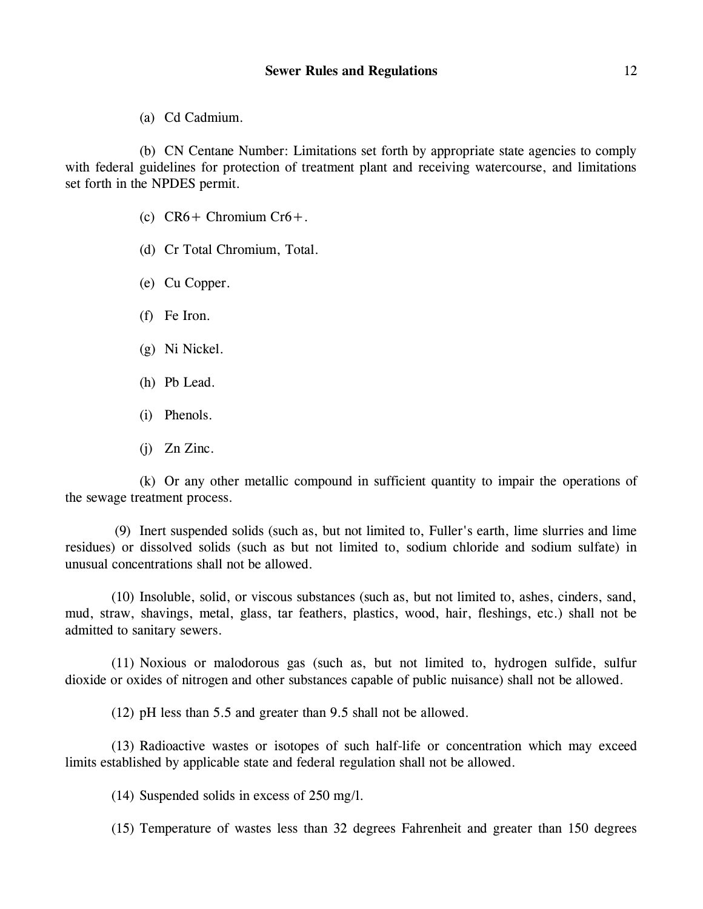(a) Cd Cadmium.

(b) CN Centane Number: Limitations set forth by appropriate state agencies to comply with federal guidelines for protection of treatment plant and receiving watercourse, and limitations set forth in the NPDES permit.

- (c)  $CR6+$  Chromium  $Cr6+$ .
- (d) Cr Total Chromium, Total.
- (e) Cu Copper.
- (f) Fe Iron.
- (g) Ni Nickel.
- (h) Pb Lead.
- (i) Phenols.
- (j) Zn Zinc.

(k) Or any other metallic compound in sufficient quantity to impair the operations of the sewage treatment process.

(9) Inert suspended solids (such as, but not limited to, Fuller's earth, lime slurries and lime residues) or dissolved solids (such as but not limited to, sodium chloride and sodium sulfate) in unusual concentrations shall not be allowed.

(10) Insoluble, solid, or viscous substances (such as, but not limited to, ashes, cinders, sand, mud, straw, shavings, metal, glass, tar feathers, plastics, wood, hair, fleshings, etc.) shall not be admitted to sanitary sewers.

(11) Noxious or malodorous gas (such as, but not limited to, hydrogen sulfide, sulfur dioxide or oxides of nitrogen and other substances capable of public nuisance) shall not be allowed.

(12) pH less than 5.5 and greater than 9.5 shall not be allowed.

(13) Radioactive wastes or isotopes of such half-life or concentration which may exceed limits established by applicable state and federal regulation shall not be allowed.

(14) Suspended solids in excess of 250 mg/l.

(15) Temperature of wastes less than 32 degrees Fahrenheit and greater than 150 degrees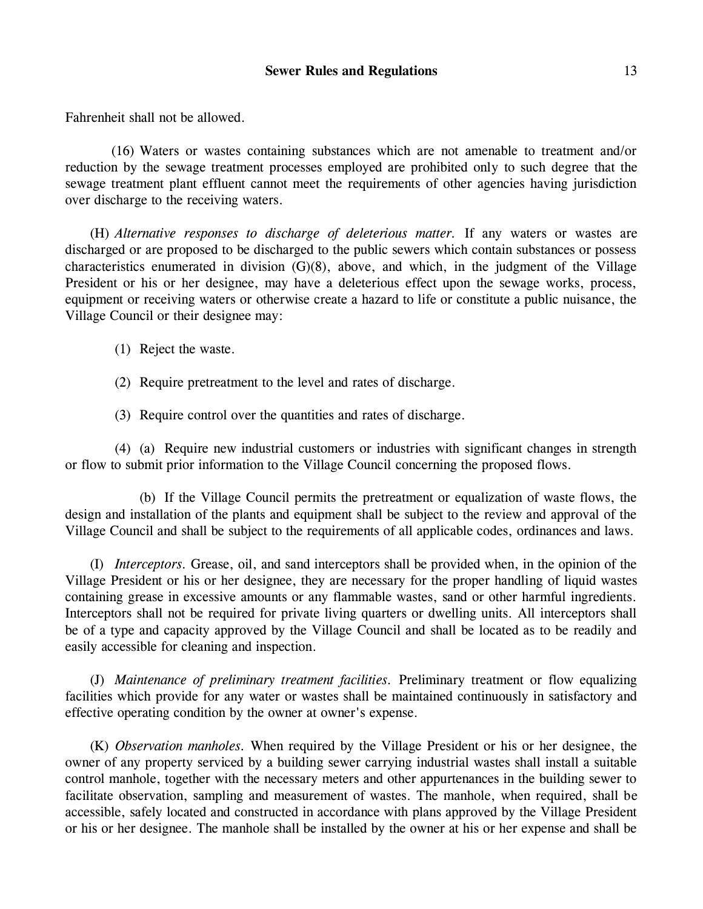Fahrenheit shall not be allowed.

(16) Waters or wastes containing substances which are not amenable to treatment and/or reduction by the sewage treatment processes employed are prohibited only to such degree that the sewage treatment plant effluent cannot meet the requirements of other agencies having jurisdiction over discharge to the receiving waters.

(H) *Alternative responses to discharge of deleterious matter.* If any waters or wastes are discharged or are proposed to be discharged to the public sewers which contain substances or possess characteristics enumerated in division (G)(8), above, and which, in the judgment of the Village President or his or her designee, may have a deleterious effect upon the sewage works, process, equipment or receiving waters or otherwise create a hazard to life or constitute a public nuisance, the Village Council or their designee may:

- (1) Reject the waste.
- (2) Require pretreatment to the level and rates of discharge.

(3) Require control over the quantities and rates of discharge.

(4) (a) Require new industrial customers or industries with significant changes in strength or flow to submit prior information to the Village Council concerning the proposed flows.

(b) If the Village Council permits the pretreatment or equalization of waste flows, the design and installation of the plants and equipment shall be subject to the review and approval of the Village Council and shall be subject to the requirements of all applicable codes, ordinances and laws.

(I) *Interceptors.* Grease, oil, and sand interceptors shall be provided when, in the opinion of the Village President or his or her designee, they are necessary for the proper handling of liquid wastes containing grease in excessive amounts or any flammable wastes, sand or other harmful ingredients. Interceptors shall not be required for private living quarters or dwelling units. All interceptors shall be of a type and capacity approved by the Village Council and shall be located as to be readily and easily accessible for cleaning and inspection.

(J) *Maintenance of preliminary treatment facilities.* Preliminary treatment or flow equalizing facilities which provide for any water or wastes shall be maintained continuously in satisfactory and effective operating condition by the owner at owner's expense.

(K) *Observation manholes.* When required by the Village President or his or her designee, the owner of any property serviced by a building sewer carrying industrial wastes shall install a suitable control manhole, together with the necessary meters and other appurtenances in the building sewer to facilitate observation, sampling and measurement of wastes. The manhole, when required, shall be accessible, safely located and constructed in accordance with plans approved by the Village President or his or her designee. The manhole shall be installed by the owner at his or her expense and shall be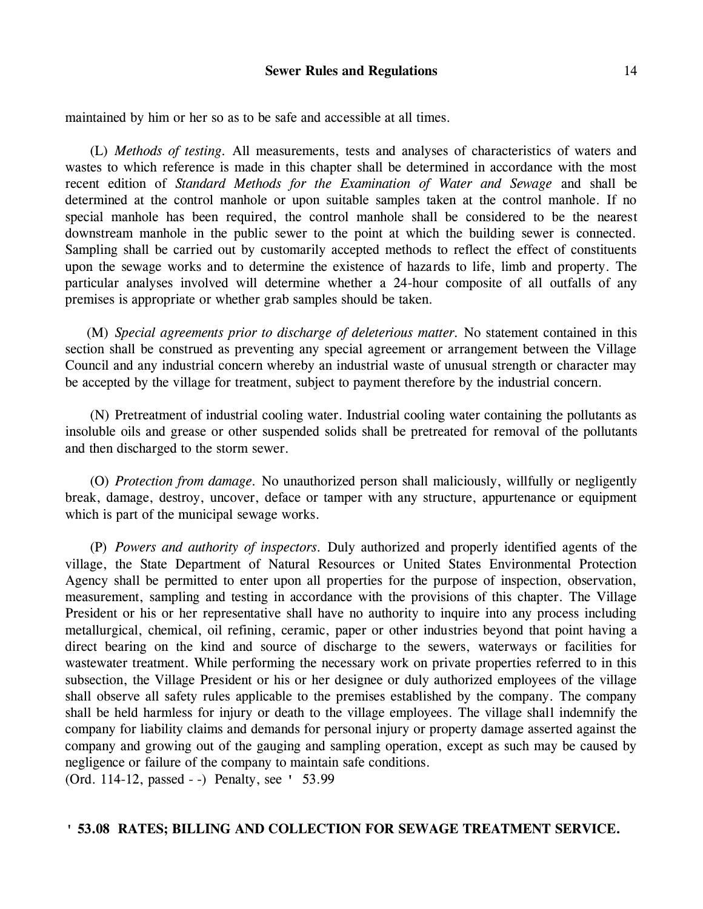maintained by him or her so as to be safe and accessible at all times.

(L) *Methods of testing.* All measurements, tests and analyses of characteristics of waters and wastes to which reference is made in this chapter shall be determined in accordance with the most recent edition of *Standard Methods for the Examination of Water and Sewage* and shall be determined at the control manhole or upon suitable samples taken at the control manhole. If no special manhole has been required, the control manhole shall be considered to be the nearest downstream manhole in the public sewer to the point at which the building sewer is connected. Sampling shall be carried out by customarily accepted methods to reflect the effect of constituents upon the sewage works and to determine the existence of hazards to life, limb and property. The particular analyses involved will determine whether a 24-hour composite of all outfalls of any premises is appropriate or whether grab samples should be taken.

(M) *Special agreements prior to discharge of deleterious matter.* No statement contained in this section shall be construed as preventing any special agreement or arrangement between the Village Council and any industrial concern whereby an industrial waste of unusual strength or character may be accepted by the village for treatment, subject to payment therefore by the industrial concern.

(N) Pretreatment of industrial cooling water. Industrial cooling water containing the pollutants as insoluble oils and grease or other suspended solids shall be pretreated for removal of the pollutants and then discharged to the storm sewer.

(O) *Protection from damage.* No unauthorized person shall maliciously, willfully or negligently break, damage, destroy, uncover, deface or tamper with any structure, appurtenance or equipment which is part of the municipal sewage works.

(P) *Powers and authority of inspectors.* Duly authorized and properly identified agents of the village, the State Department of Natural Resources or United States Environmental Protection Agency shall be permitted to enter upon all properties for the purpose of inspection, observation, measurement, sampling and testing in accordance with the provisions of this chapter. The Village President or his or her representative shall have no authority to inquire into any process including metallurgical, chemical, oil refining, ceramic, paper or other industries beyond that point having a direct bearing on the kind and source of discharge to the sewers, waterways or facilities for wastewater treatment. While performing the necessary work on private properties referred to in this subsection, the Village President or his or her designee or duly authorized employees of the village shall observe all safety rules applicable to the premises established by the company. The company shall be held harmless for injury or death to the village employees. The village shall indemnify the company for liability claims and demands for personal injury or property damage asserted against the company and growing out of the gauging and sampling operation, except as such may be caused by negligence or failure of the company to maintain safe conditions.

(Ord. 114-12, passed - -) Penalty, see ' 53.99

# **' 53.08 RATES; BILLING AND COLLECTION FOR SEWAGE TREATMENT SERVICE.**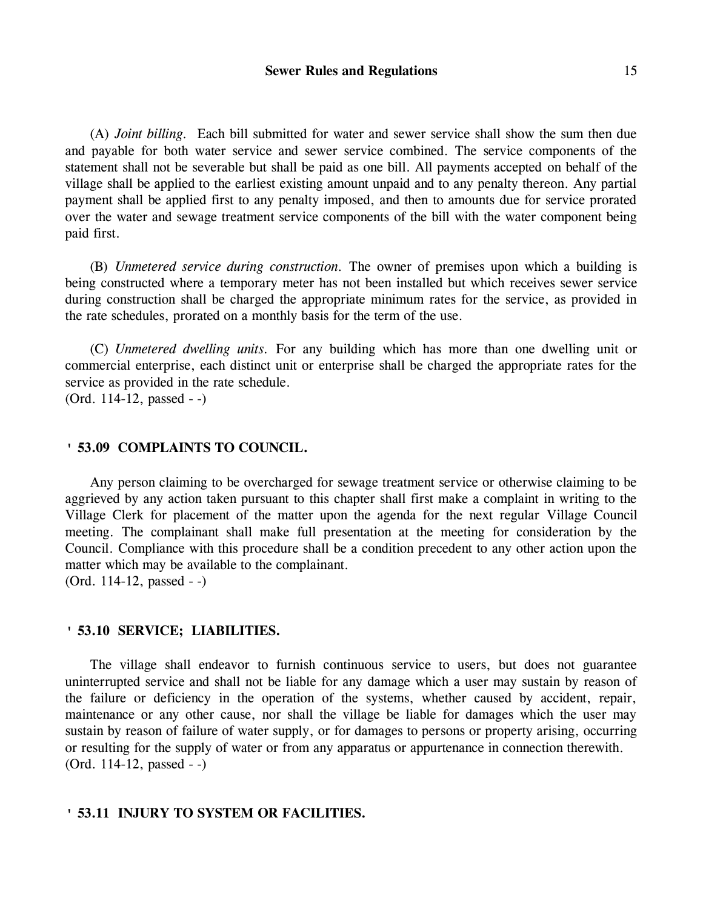(A) *Joint billing.* Each bill submitted for water and sewer service shall show the sum then due and payable for both water service and sewer service combined. The service components of the statement shall not be severable but shall be paid as one bill. All payments accepted on behalf of the village shall be applied to the earliest existing amount unpaid and to any penalty thereon. Any partial payment shall be applied first to any penalty imposed, and then to amounts due for service prorated over the water and sewage treatment service components of the bill with the water component being paid first.

(B) *Unmetered service during construction.* The owner of premises upon which a building is being constructed where a temporary meter has not been installed but which receives sewer service during construction shall be charged the appropriate minimum rates for the service, as provided in the rate schedules, prorated on a monthly basis for the term of the use.

(C) *Unmetered dwelling units.* For any building which has more than one dwelling unit or commercial enterprise, each distinct unit or enterprise shall be charged the appropriate rates for the service as provided in the rate schedule. (Ord. 114-12, passed - -)

# **' 53.09 COMPLAINTS TO COUNCIL.**

Any person claiming to be overcharged for sewage treatment service or otherwise claiming to be aggrieved by any action taken pursuant to this chapter shall first make a complaint in writing to the Village Clerk for placement of the matter upon the agenda for the next regular Village Council meeting. The complainant shall make full presentation at the meeting for consideration by the Council. Compliance with this procedure shall be a condition precedent to any other action upon the matter which may be available to the complainant. (Ord. 114-12, passed - -)

### **' 53.10 SERVICE; LIABILITIES.**

The village shall endeavor to furnish continuous service to users, but does not guarantee uninterrupted service and shall not be liable for any damage which a user may sustain by reason of the failure or deficiency in the operation of the systems, whether caused by accident, repair, maintenance or any other cause, nor shall the village be liable for damages which the user may sustain by reason of failure of water supply, or for damages to persons or property arising, occurring or resulting for the supply of water or from any apparatus or appurtenance in connection therewith. (Ord. 114-12, passed - -)

### **' 53.11 INJURY TO SYSTEM OR FACILITIES.**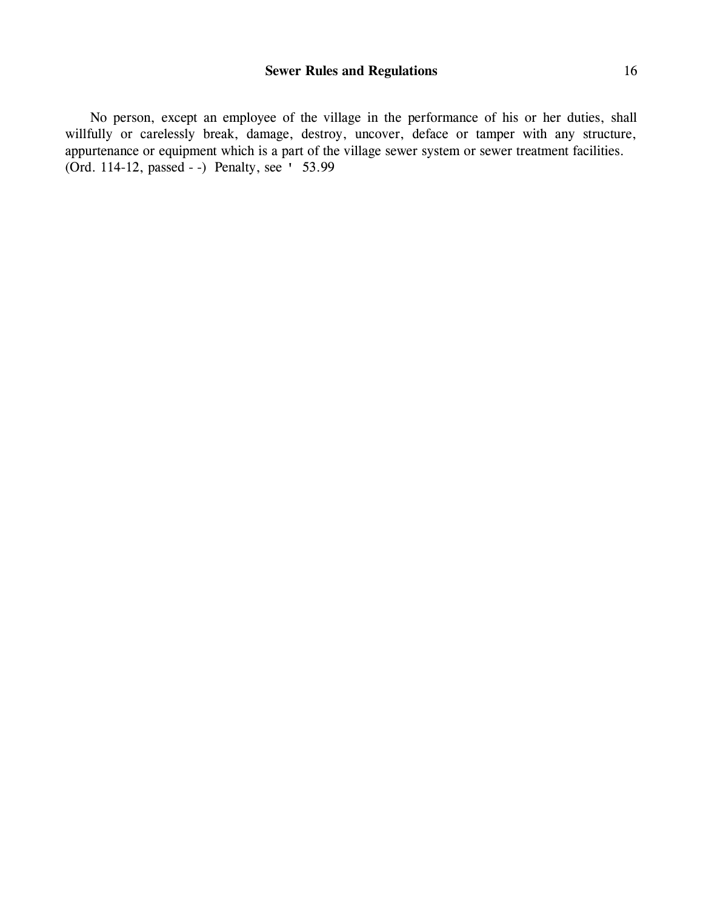No person, except an employee of the village in the performance of his or her duties, shall willfully or carelessly break, damage, destroy, uncover, deface or tamper with any structure, appurtenance or equipment which is a part of the village sewer system or sewer treatment facilities. (Ord. 114-12, passed - -) Penalty, see ' 53.99